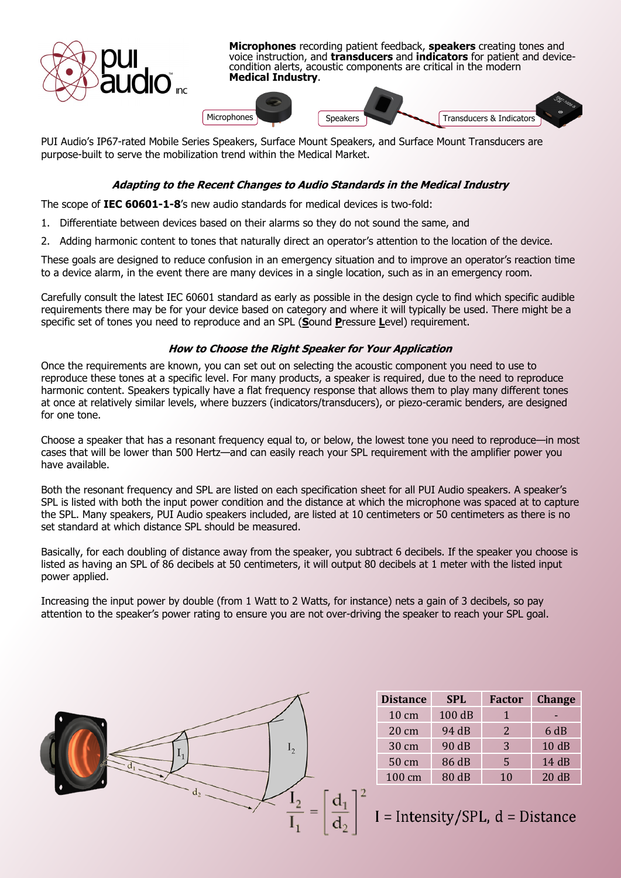

PUI Audio's IP67-rated Mobile Series Speakers, Surface Mount Speakers, and Surface Mount Transducers are purpose-built to serve the mobilization trend within the Medical Market.

## **Adapting to the Recent Changes to Audio Standards in the Medical Industry**

The scope of **IEC 60601-1-8**'s new audio standards for medical devices is two-fold:

1. Differentiate between devices based on their alarms so they do not sound the same, and

2. Adding harmonic content to tones that naturally direct an operator's attention to the location of the device.

These goals are designed to reduce confusion in an emergency situation and to improve an operator's reaction time to a device alarm, in the event there are many devices in a single location, such as in an emergency room.

Carefully consult the latest IEC 60601 standard as early as possible in the design cycle to find which specific audible requirements there may be for your device based on category and where it will typically be used. There might be a specific set of tones you need to reproduce and an SPL (**S**ound **P**ressure **L**evel) requirement.

## **How to Choose the Right Speaker for Your Application**

Once the requirements are known, you can set out on selecting the acoustic component you need to use to reproduce these tones at a specific level. For many products, a speaker is required, due to the need to reproduce harmonic content. Speakers typically have a flat frequency response that allows them to play many different tones at once at relatively similar levels, where buzzers (indicators/transducers), or piezo-ceramic benders, are designed for one tone.

Choose a speaker that has a resonant frequency equal to, or below, the lowest tone you need to reproduce—in most cases that will be lower than 500 Hertz—and can easily reach your SPL requirement with the amplifier power you have available.

Both the resonant frequency and SPL are listed on each specification sheet for all PUI Audio speakers. A speaker's SPL is listed with both the input power condition and the distance at which the microphone was spaced at to capture the SPL. Many speakers, PUI Audio speakers included, are listed at 10 centimeters or 50 centimeters as there is no set standard at which distance SPL should be measured.

Basically, for each doubling of distance away from the speaker, you subtract 6 decibels. If the speaker you choose is listed as having an SPL of 86 decibels at 50 centimeters, it will output 80 decibels at 1 meter with the listed input power applied.

Increasing the input power by double (from 1 Watt to 2 Watts, for instance) nets a gain of 3 decibels, so pay attention to the speaker's power rating to ensure you are not over-driving the speaker to reach your SPL goal.



| <b>Distance</b>  | <b>SPL</b> | <b>Factor</b> | <b>Change</b> |
|------------------|------------|---------------|---------------|
| $10 \text{ cm}$  | 100 dB     | 1             |               |
| $20 \text{ cm}$  | 94 dB      | 2             | 6 dB          |
| 30 cm            | 90 dB      | 3             | 10dB          |
| 50 cm            | 86 dB      | 5             | 14 dB         |
| $100 \text{ cm}$ | 80 dB      | 10            | 20dB          |

 $\int_{a}^{b} I =$  Intensity/SPL, d = Distance